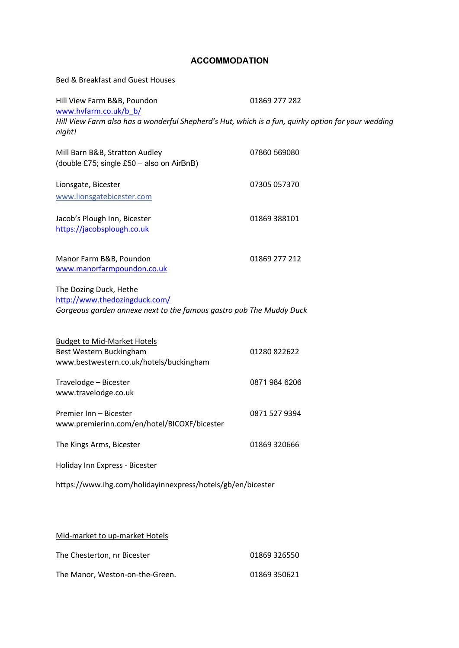## **ACCOMMODATION**

## Bed & Breakfast and Guest Houses

| Hill View Farm B&B, Poundon<br>www.hvfarm.co.uk/b_b/                                                                           | 01869 277 282 |
|--------------------------------------------------------------------------------------------------------------------------------|---------------|
| Hill View Farm also has a wonderful Shepherd's Hut, which is a fun, quirky option for your wedding<br>night!                   |               |
| Mill Barn B&B, Stratton Audley<br>(double £75; single £50 - also on AirBnB)                                                    | 07860 569080  |
| Lionsgate, Bicester<br>www.lionsgatebicester.com                                                                               | 07305 057370  |
| Jacob's Plough Inn, Bicester<br>https://jacobsplough.co.uk                                                                     | 01869 388101  |
| Manor Farm B&B, Poundon<br>www.manorfarmpoundon.co.uk                                                                          | 01869 277 212 |
| The Dozing Duck, Hethe<br>http://www.thedozingduck.com/<br>Gorgeous garden annexe next to the famous gastro pub The Muddy Duck |               |
| <b>Budget to Mid-Market Hotels</b><br>Best Western Buckingham<br>www.bestwestern.co.uk/hotels/buckingham                       | 01280 822622  |
| Travelodge - Bicester<br>www.travelodge.co.uk                                                                                  | 0871 984 6206 |
| Premier Inn - Bicester<br>www.premierinn.com/en/hotel/BICOXF/bicester                                                          | 0871 527 9394 |
| The Kings Arms, Bicester                                                                                                       | 01869 320666  |
| Holiday Inn Express - Bicester                                                                                                 |               |
| https://www.ihg.com/holidayinnexpress/hotels/gb/en/bicester                                                                    |               |

## Mid-market to up-market Hotels

| The Chesterton, nr Bicester     | 01869 326550 |
|---------------------------------|--------------|
| The Manor, Weston-on-the-Green. | 01869 350621 |